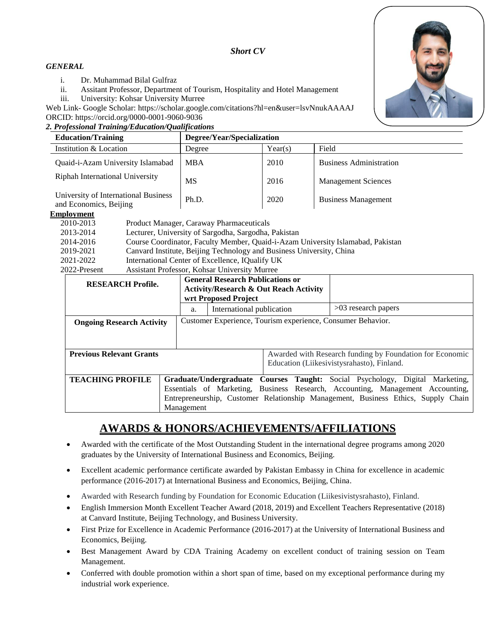# *Short CV*

## *GENERAL*

- i. Dr. Muhammad Bilal Gulfraz
- ii. Assitant Professor, Department of Tourism, Hospitality and Hotel Management
- iii. University: Kohsar University Murree

Web Link- Google Scholar: https://scholar.google.com/citations?hl=en&user=lsvNnukAAAAJ ORCID: https://orcid.org/0000-0001-9060-9036

### *2. Professional Training/Education/Qualifications*



| <b>Education/Training</b>                                      | Degree/Year/Specialization |         |                                |
|----------------------------------------------------------------|----------------------------|---------|--------------------------------|
| Institution & Location                                         | Degree                     | Year(s) | Field                          |
| Quaid-i-Azam University Islamabad                              | <b>MBA</b>                 | 2010    | <b>Business Administration</b> |
| <b>Riphah International University</b>                         | MS                         | 2016    | <b>Management Sciences</b>     |
| University of International Business<br>and Economics, Beijing | Ph.D.                      | 2020    | <b>Business Management</b>     |

### **Employment**

| 2010-2013    | Product Manager, Caraway Pharmaceuticals                                        |
|--------------|---------------------------------------------------------------------------------|
| 2013-2014    | Lecturer, University of Sargodha, Sargodha, Pakistan                            |
| 2014-2016    | Course Coordinator, Faculty Member, Quaid-i-Azam University Islamabad, Pakistan |
| 2019-2021    | Canvard Institute, Beijing Technology and Business University, China            |
| 2021-2022    | International Center of Excellence, IQualify UK                                 |
| 2022-Present | Assistant Professor, Kohsar University Murree                                   |

| <b>RESEARCH Profile.</b>         |                                                                                   | <b>General Research Publications or</b><br><b>Activity/Research &amp; Out Reach Activity</b><br>wrt Proposed Project |  |  |
|----------------------------------|-----------------------------------------------------------------------------------|----------------------------------------------------------------------------------------------------------------------|--|--|
|                                  | a.                                                                                | $>03$ research papers<br>International publication                                                                   |  |  |
| <b>Ongoing Research Activity</b> |                                                                                   | Customer Experience, Tourism experience, Consumer Behavior.                                                          |  |  |
|                                  |                                                                                   |                                                                                                                      |  |  |
| <b>Previous Relevant Grants</b>  |                                                                                   | Awarded with Research funding by Foundation for Economic                                                             |  |  |
|                                  |                                                                                   | Education (Liikesivistysrahasto), Finland.                                                                           |  |  |
| <b>TEACHING PROFILE</b>          |                                                                                   | Graduate/Undergraduate Courses Taught: Social Psychology, Digital Marketing,                                         |  |  |
|                                  | Essentials of Marketing, Business Research, Accounting, Management Accounting,    |                                                                                                                      |  |  |
|                                  | Entrepreneurship, Customer Relationship Management, Business Ethics, Supply Chain |                                                                                                                      |  |  |
|                                  | Management                                                                        |                                                                                                                      |  |  |

# **AWARDS & HONORS/ACHIEVEMENTS/AFFILIATIONS**

- Awarded with the certificate of the Most Outstanding Student in the international degree programs among 2020 graduates by the University of International Business and Economics, Beijing.
- Excellent academic performance certificate awarded by Pakistan Embassy in China for excellence in academic performance (2016-2017) at International Business and Economics, Beijing, China.
- Awarded with Research funding by Foundation for Economic Education (Liikesivistysrahasto), Finland.
- English Immersion Month Excellent Teacher Award (2018, 2019) and Excellent Teachers Representative (2018) at Canvard Institute, Beijing Technology, and Business University.
- First Prize for Excellence in Academic Performance (2016-2017) at the University of International Business and Economics, Beijing.
- Best Management Award by CDA Training Academy on excellent conduct of training session on Team Management.
- Conferred with double promotion within a short span of time, based on my exceptional performance during my industrial work experience.